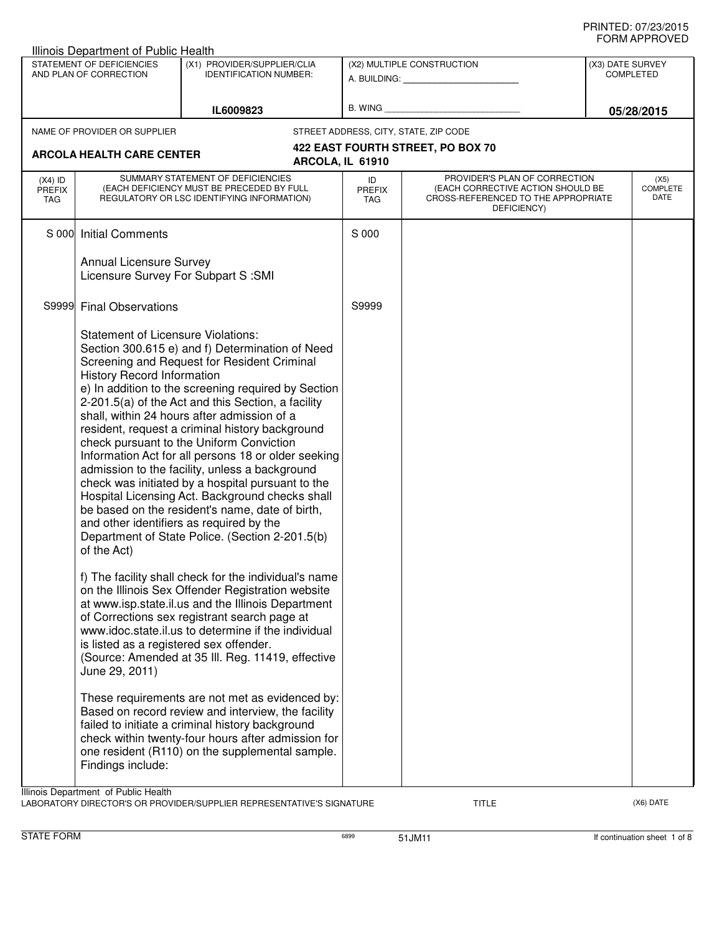|                                                     | Illinois Department of Public Health                                                          |                                                                                                                                                                                                                                                                                                                                                                                                                                                                                                                                                                                                                                                                                                                              |                            |                                                                                                                          |                                      |
|-----------------------------------------------------|-----------------------------------------------------------------------------------------------|------------------------------------------------------------------------------------------------------------------------------------------------------------------------------------------------------------------------------------------------------------------------------------------------------------------------------------------------------------------------------------------------------------------------------------------------------------------------------------------------------------------------------------------------------------------------------------------------------------------------------------------------------------------------------------------------------------------------------|----------------------------|--------------------------------------------------------------------------------------------------------------------------|--------------------------------------|
| STATEMENT OF DEFICIENCIES<br>AND PLAN OF CORRECTION |                                                                                               | (X1) PROVIDER/SUPPLIER/CLIA<br><b>IDENTIFICATION NUMBER:</b>                                                                                                                                                                                                                                                                                                                                                                                                                                                                                                                                                                                                                                                                 |                            | (X2) MULTIPLE CONSTRUCTION                                                                                               | (X3) DATE SURVEY<br><b>COMPLETED</b> |
|                                                     | IL6009823                                                                                     |                                                                                                                                                                                                                                                                                                                                                                                                                                                                                                                                                                                                                                                                                                                              |                            | B. WING <b>Example 2008</b>                                                                                              | 05/28/2015                           |
|                                                     | NAME OF PROVIDER OR SUPPLIER<br><b>ARCOLA HEALTH CARE CENTER</b>                              |                                                                                                                                                                                                                                                                                                                                                                                                                                                                                                                                                                                                                                                                                                                              |                            | STREET ADDRESS, CITY, STATE, ZIP CODE<br>422 EAST FOURTH STREET, PO BOX 70                                               |                                      |
|                                                     |                                                                                               |                                                                                                                                                                                                                                                                                                                                                                                                                                                                                                                                                                                                                                                                                                                              | ARCOLA, IL 61910           |                                                                                                                          |                                      |
| $(X4)$ ID<br><b>PREFIX</b><br>TAG                   |                                                                                               | SUMMARY STATEMENT OF DEFICIENCIES<br>(EACH DEFICIENCY MUST BE PRECEDED BY FULL<br>REGULATORY OR LSC IDENTIFYING INFORMATION)                                                                                                                                                                                                                                                                                                                                                                                                                                                                                                                                                                                                 | ID<br><b>PREFIX</b><br>TAG | PROVIDER'S PLAN OF CORRECTION<br>(EACH CORRECTIVE ACTION SHOULD BE<br>CROSS-REFERENCED TO THE APPROPRIATE<br>DEFICIENCY) | (X5)<br>COMPLETE<br>DATE             |
|                                                     | S 000 Initial Comments                                                                        |                                                                                                                                                                                                                                                                                                                                                                                                                                                                                                                                                                                                                                                                                                                              | S 000                      |                                                                                                                          |                                      |
|                                                     | Annual Licensure Survey<br>Licensure Survey For Subpart S : SMI                               |                                                                                                                                                                                                                                                                                                                                                                                                                                                                                                                                                                                                                                                                                                                              |                            |                                                                                                                          |                                      |
|                                                     | S9999 Final Observations                                                                      |                                                                                                                                                                                                                                                                                                                                                                                                                                                                                                                                                                                                                                                                                                                              | S9999                      |                                                                                                                          |                                      |
|                                                     | <b>Statement of Licensure Violations:</b><br><b>History Record Information</b><br>of the Act) | Section 300.615 e) and f) Determination of Need<br>Screening and Request for Resident Criminal<br>e) In addition to the screening required by Section<br>2-201.5(a) of the Act and this Section, a facility<br>shall, within 24 hours after admission of a<br>resident, request a criminal history background<br>check pursuant to the Uniform Conviction<br>Information Act for all persons 18 or older seeking<br>admission to the facility, unless a background<br>check was initiated by a hospital pursuant to the<br>Hospital Licensing Act. Background checks shall<br>be based on the resident's name, date of birth,<br>and other identifiers as required by the<br>Department of State Police. (Section 2-201.5(b) |                            |                                                                                                                          |                                      |
|                                                     | is listed as a registered sex offender.<br>June 29, 2011)                                     | f) The facility shall check for the individual's name<br>on the Illinois Sex Offender Registration website<br>at www.isp.state.il.us and the Illinois Department<br>of Corrections sex registrant search page at<br>www.idoc.state.il.us to determine if the individual<br>(Source: Amended at 35 III. Reg. 11419, effective                                                                                                                                                                                                                                                                                                                                                                                                 |                            |                                                                                                                          |                                      |
|                                                     | Findings include:                                                                             | These requirements are not met as evidenced by:<br>Based on record review and interview, the facility<br>failed to initiate a criminal history background<br>check within twenty-four hours after admission for<br>one resident (R110) on the supplemental sample.                                                                                                                                                                                                                                                                                                                                                                                                                                                           |                            |                                                                                                                          |                                      |

LABORATORY DIRECTOR'S OR PROVIDER/SUPPLIER REPRESENTATIVE'S SIGNATURE TITLE TITLE THE CONSERVATION OF THE CONST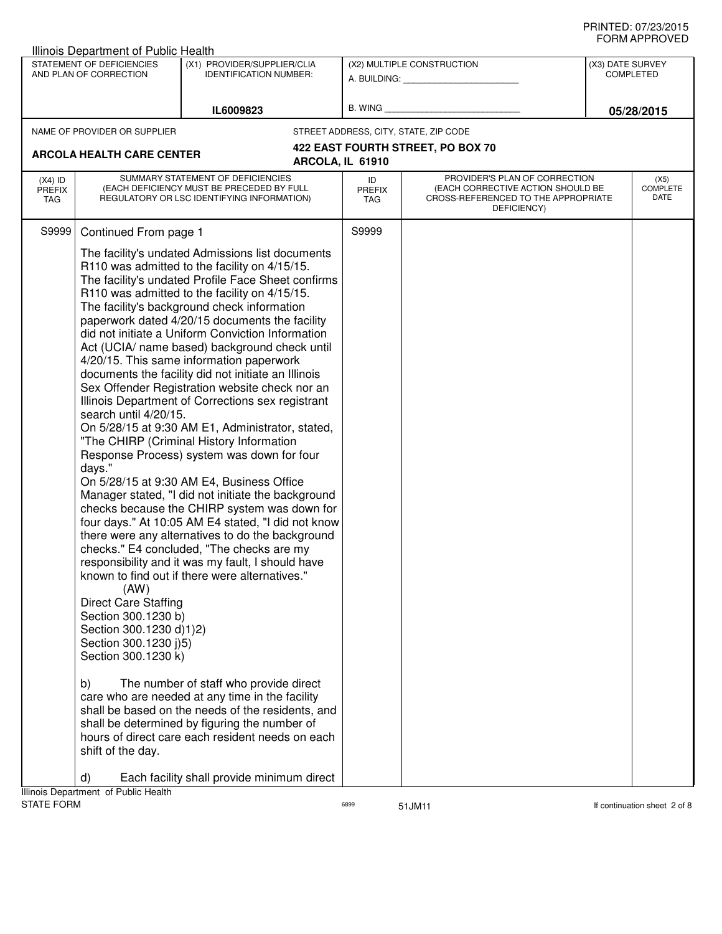| <b>Illinois Department of Public Health</b>                                                                                                                                                                      |                                                                                                                                                                                                                                                                                                                                                                                                                                                                                                                                                                                                                                                                                                                                                                                                                                                                                                                                                                                                                                                                                                                                                                                                                                                                                       |                            |                                                                                                                          |                                      |
|------------------------------------------------------------------------------------------------------------------------------------------------------------------------------------------------------------------|---------------------------------------------------------------------------------------------------------------------------------------------------------------------------------------------------------------------------------------------------------------------------------------------------------------------------------------------------------------------------------------------------------------------------------------------------------------------------------------------------------------------------------------------------------------------------------------------------------------------------------------------------------------------------------------------------------------------------------------------------------------------------------------------------------------------------------------------------------------------------------------------------------------------------------------------------------------------------------------------------------------------------------------------------------------------------------------------------------------------------------------------------------------------------------------------------------------------------------------------------------------------------------------|----------------------------|--------------------------------------------------------------------------------------------------------------------------|--------------------------------------|
| STATEMENT OF DEFICIENCIES<br>AND PLAN OF CORRECTION                                                                                                                                                              | (X1) PROVIDER/SUPPLIER/CLIA<br><b>IDENTIFICATION NUMBER:</b>                                                                                                                                                                                                                                                                                                                                                                                                                                                                                                                                                                                                                                                                                                                                                                                                                                                                                                                                                                                                                                                                                                                                                                                                                          |                            | (X2) MULTIPLE CONSTRUCTION<br>A. BUILDING: A. BUILDING:                                                                  | (X3) DATE SURVEY<br><b>COMPLETED</b> |
|                                                                                                                                                                                                                  | IL6009823                                                                                                                                                                                                                                                                                                                                                                                                                                                                                                                                                                                                                                                                                                                                                                                                                                                                                                                                                                                                                                                                                                                                                                                                                                                                             | B. WING                    |                                                                                                                          | 05/28/2015                           |
| NAME OF PROVIDER OR SUPPLIER                                                                                                                                                                                     |                                                                                                                                                                                                                                                                                                                                                                                                                                                                                                                                                                                                                                                                                                                                                                                                                                                                                                                                                                                                                                                                                                                                                                                                                                                                                       |                            | STREET ADDRESS, CITY, STATE, ZIP CODE                                                                                    |                                      |
|                                                                                                                                                                                                                  |                                                                                                                                                                                                                                                                                                                                                                                                                                                                                                                                                                                                                                                                                                                                                                                                                                                                                                                                                                                                                                                                                                                                                                                                                                                                                       |                            | 422 EAST FOURTH STREET, PO BOX 70                                                                                        |                                      |
| <b>ARCOLA HEALTH CARE CENTER</b>                                                                                                                                                                                 |                                                                                                                                                                                                                                                                                                                                                                                                                                                                                                                                                                                                                                                                                                                                                                                                                                                                                                                                                                                                                                                                                                                                                                                                                                                                                       | ARCOLA, IL 61910           |                                                                                                                          |                                      |
| $(X4)$ ID<br><b>PREFIX</b><br>TAG                                                                                                                                                                                | SUMMARY STATEMENT OF DEFICIENCIES<br>(EACH DEFICIENCY MUST BE PRECEDED BY FULL<br>REGULATORY OR LSC IDENTIFYING INFORMATION)                                                                                                                                                                                                                                                                                                                                                                                                                                                                                                                                                                                                                                                                                                                                                                                                                                                                                                                                                                                                                                                                                                                                                          | ID<br><b>PREFIX</b><br>TAG | PROVIDER'S PLAN OF CORRECTION<br>(EACH CORRECTIVE ACTION SHOULD BE<br>CROSS-REFERENCED TO THE APPROPRIATE<br>DEFICIENCY) | (X5)<br><b>COMPLETE</b><br>DATE      |
| S9999<br>Continued From page 1<br>search until 4/20/15.<br>days."<br>(AW)<br><b>Direct Care Staffing</b><br>Section 300.1230 b)<br>Section 300.1230 d)1)2)<br>Section 300.1230 j)5)<br>Section 300.1230 k)<br>b) | The facility's undated Admissions list documents<br>R110 was admitted to the facility on 4/15/15.<br>The facility's undated Profile Face Sheet confirms<br>R110 was admitted to the facility on 4/15/15.<br>The facility's background check information<br>paperwork dated 4/20/15 documents the facility<br>did not initiate a Uniform Conviction Information<br>Act (UCIA/ name based) background check until<br>4/20/15. This same information paperwork<br>documents the facility did not initiate an Illinois<br>Sex Offender Registration website check nor an<br>Illinois Department of Corrections sex registrant<br>On 5/28/15 at 9:30 AM E1, Administrator, stated,<br>"The CHIRP (Criminal History Information<br>Response Process) system was down for four<br>On 5/28/15 at 9:30 AM E4, Business Office<br>Manager stated, "I did not initiate the background<br>checks because the CHIRP system was down for<br>four days." At 10:05 AM E4 stated, "I did not know<br>there were any alternatives to do the background<br>checks." E4 concluded, "The checks are my<br>responsibility and it was my fault, I should have<br>known to find out if there were alternatives."<br>The number of staff who provide direct<br>care who are needed at any time in the facility | S9999                      |                                                                                                                          |                                      |
| shift of the day.                                                                                                                                                                                                | shall be based on the needs of the residents, and<br>shall be determined by figuring the number of<br>hours of direct care each resident needs on each                                                                                                                                                                                                                                                                                                                                                                                                                                                                                                                                                                                                                                                                                                                                                                                                                                                                                                                                                                                                                                                                                                                                |                            |                                                                                                                          |                                      |
| $\mathsf{d}$                                                                                                                                                                                                     | Each facility shall provide minimum direct                                                                                                                                                                                                                                                                                                                                                                                                                                                                                                                                                                                                                                                                                                                                                                                                                                                                                                                                                                                                                                                                                                                                                                                                                                            |                            |                                                                                                                          |                                      |
| Illinois Department of Public Health<br><b>STATE FORM</b>                                                                                                                                                        |                                                                                                                                                                                                                                                                                                                                                                                                                                                                                                                                                                                                                                                                                                                                                                                                                                                                                                                                                                                                                                                                                                                                                                                                                                                                                       | 6899                       | 51JM11                                                                                                                   | If continuation sheet 2 of 8         |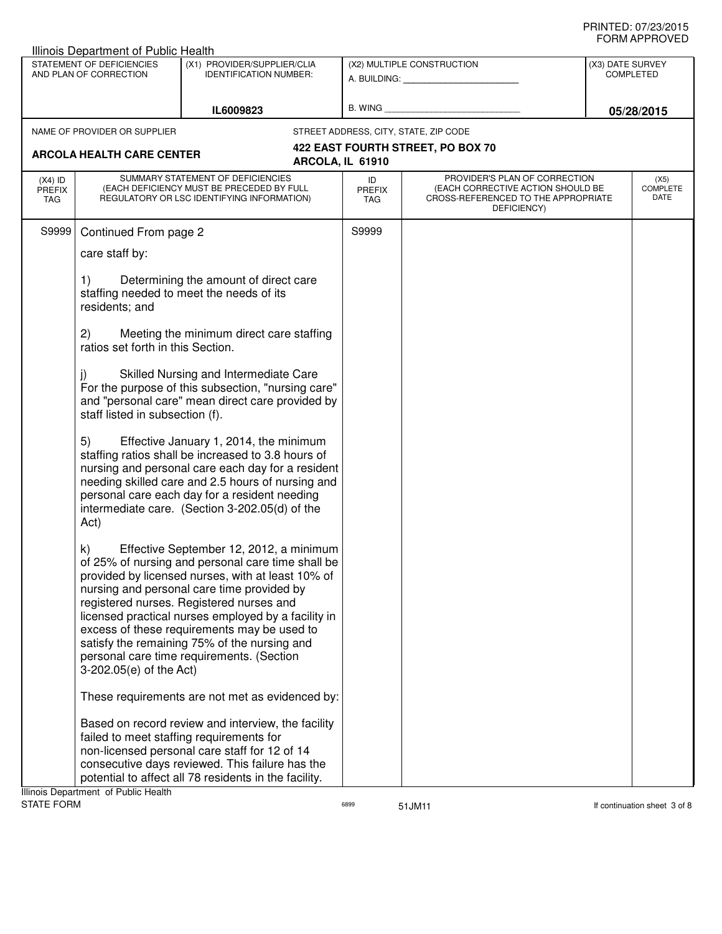| <b>Illinois Department of Public Health</b> |                                                     |                                                                                                                                                                                                                                                                                                                                                                                                                                                |                            |                                                                                                                          |  |                                      |  |
|---------------------------------------------|-----------------------------------------------------|------------------------------------------------------------------------------------------------------------------------------------------------------------------------------------------------------------------------------------------------------------------------------------------------------------------------------------------------------------------------------------------------------------------------------------------------|----------------------------|--------------------------------------------------------------------------------------------------------------------------|--|--------------------------------------|--|
|                                             | STATEMENT OF DEFICIENCIES<br>AND PLAN OF CORRECTION | (X1) PROVIDER/SUPPLIER/CLIA<br><b>IDENTIFICATION NUMBER:</b>                                                                                                                                                                                                                                                                                                                                                                                   |                            | (X2) MULTIPLE CONSTRUCTION<br>A. BUILDING: A. BUILDING:                                                                  |  | (X3) DATE SURVEY<br><b>COMPLETED</b> |  |
|                                             |                                                     | IL6009823                                                                                                                                                                                                                                                                                                                                                                                                                                      | B. WING                    |                                                                                                                          |  | 05/28/2015                           |  |
|                                             | NAME OF PROVIDER OR SUPPLIER                        |                                                                                                                                                                                                                                                                                                                                                                                                                                                |                            | STREET ADDRESS, CITY, STATE, ZIP CODE                                                                                    |  |                                      |  |
|                                             | <b>ARCOLA HEALTH CARE CENTER</b>                    |                                                                                                                                                                                                                                                                                                                                                                                                                                                | ARCOLA, IL 61910           | 422 EAST FOURTH STREET, PO BOX 70                                                                                        |  |                                      |  |
| $(X4)$ ID<br>PREFIX<br>TAG                  |                                                     | SUMMARY STATEMENT OF DEFICIENCIES<br>(EACH DEFICIENCY MUST BE PRECEDED BY FULL<br>REGULATORY OR LSC IDENTIFYING INFORMATION)                                                                                                                                                                                                                                                                                                                   | ID<br><b>PREFIX</b><br>TAG | PROVIDER'S PLAN OF CORRECTION<br>(EACH CORRECTIVE ACTION SHOULD BE<br>CROSS-REFERENCED TO THE APPROPRIATE<br>DEFICIENCY) |  | (X5)<br><b>COMPLETE</b><br>DATE      |  |
| S9999                                       | Continued From page 2                               |                                                                                                                                                                                                                                                                                                                                                                                                                                                | S9999                      |                                                                                                                          |  |                                      |  |
|                                             | care staff by:                                      |                                                                                                                                                                                                                                                                                                                                                                                                                                                |                            |                                                                                                                          |  |                                      |  |
|                                             | 1)<br>residents; and                                | Determining the amount of direct care<br>staffing needed to meet the needs of its                                                                                                                                                                                                                                                                                                                                                              |                            |                                                                                                                          |  |                                      |  |
|                                             | (2)<br>ratios set forth in this Section.            | Meeting the minimum direct care staffing                                                                                                                                                                                                                                                                                                                                                                                                       |                            |                                                                                                                          |  |                                      |  |
|                                             | staff listed in subsection (f).                     | Skilled Nursing and Intermediate Care<br>For the purpose of this subsection, "nursing care"<br>and "personal care" mean direct care provided by                                                                                                                                                                                                                                                                                                |                            |                                                                                                                          |  |                                      |  |
|                                             | 5)<br>Act)                                          | Effective January 1, 2014, the minimum<br>staffing ratios shall be increased to 3.8 hours of<br>nursing and personal care each day for a resident<br>needing skilled care and 2.5 hours of nursing and<br>personal care each day for a resident needing<br>intermediate care. (Section 3-202.05(d) of the                                                                                                                                      |                            |                                                                                                                          |  |                                      |  |
|                                             | k)<br>3-202.05(e) of the Act)                       | Effective September 12, 2012, a minimum<br>of 25% of nursing and personal care time shall be<br>provided by licensed nurses, with at least 10% of<br>nursing and personal care time provided by<br>registered nurses. Registered nurses and<br>licensed practical nurses employed by a facility in<br>excess of these requirements may be used to<br>satisfy the remaining 75% of the nursing and<br>personal care time requirements. (Section |                            |                                                                                                                          |  |                                      |  |
|                                             |                                                     | These requirements are not met as evidenced by:                                                                                                                                                                                                                                                                                                                                                                                                |                            |                                                                                                                          |  |                                      |  |
|                                             | Illinois Department of Public Health                | Based on record review and interview, the facility<br>failed to meet staffing requirements for<br>non-licensed personal care staff for 12 of 14<br>consecutive days reviewed. This failure has the<br>potential to affect all 78 residents in the facility.                                                                                                                                                                                    |                            |                                                                                                                          |  |                                      |  |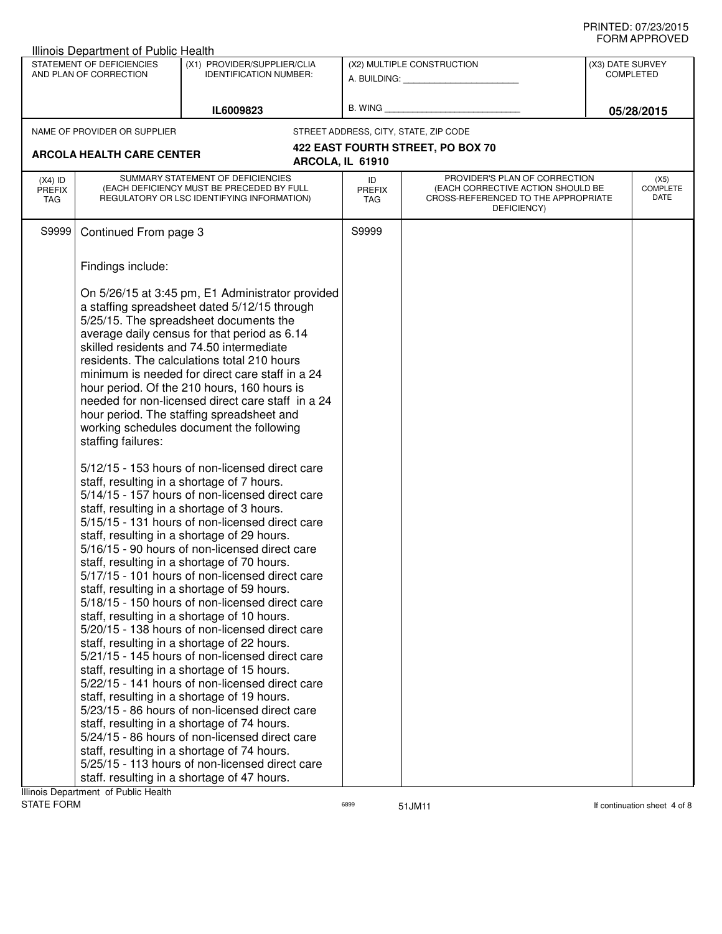|                                   | Illinois Department of Public Health                |                                                                                                                                                                                                                                                                                                                                                                                                                                                                                                                                                                                                                                                                                                                                                                                                                                                                                                                                                                                                                                                                                                                                                                                                                                                                                                                                                                                                                                                                                                                                                                                                                                                                                                           |                                   |                                                                                                                          |                                      |                                 |
|-----------------------------------|-----------------------------------------------------|-----------------------------------------------------------------------------------------------------------------------------------------------------------------------------------------------------------------------------------------------------------------------------------------------------------------------------------------------------------------------------------------------------------------------------------------------------------------------------------------------------------------------------------------------------------------------------------------------------------------------------------------------------------------------------------------------------------------------------------------------------------------------------------------------------------------------------------------------------------------------------------------------------------------------------------------------------------------------------------------------------------------------------------------------------------------------------------------------------------------------------------------------------------------------------------------------------------------------------------------------------------------------------------------------------------------------------------------------------------------------------------------------------------------------------------------------------------------------------------------------------------------------------------------------------------------------------------------------------------------------------------------------------------------------------------------------------------|-----------------------------------|--------------------------------------------------------------------------------------------------------------------------|--------------------------------------|---------------------------------|
|                                   | STATEMENT OF DEFICIENCIES<br>AND PLAN OF CORRECTION | (X1) PROVIDER/SUPPLIER/CLIA<br><b>IDENTIFICATION NUMBER:</b>                                                                                                                                                                                                                                                                                                                                                                                                                                                                                                                                                                                                                                                                                                                                                                                                                                                                                                                                                                                                                                                                                                                                                                                                                                                                                                                                                                                                                                                                                                                                                                                                                                              |                                   | (X2) MULTIPLE CONSTRUCTION<br>A. BUILDING: A. BUILDING:                                                                  | (X3) DATE SURVEY<br><b>COMPLETED</b> |                                 |
|                                   |                                                     | IL6009823                                                                                                                                                                                                                                                                                                                                                                                                                                                                                                                                                                                                                                                                                                                                                                                                                                                                                                                                                                                                                                                                                                                                                                                                                                                                                                                                                                                                                                                                                                                                                                                                                                                                                                 | B. WING                           |                                                                                                                          | 05/28/2015                           |                                 |
|                                   | NAME OF PROVIDER OR SUPPLIER                        |                                                                                                                                                                                                                                                                                                                                                                                                                                                                                                                                                                                                                                                                                                                                                                                                                                                                                                                                                                                                                                                                                                                                                                                                                                                                                                                                                                                                                                                                                                                                                                                                                                                                                                           |                                   | STREET ADDRESS, CITY, STATE, ZIP CODE                                                                                    |                                      |                                 |
|                                   | <b>ARCOLA HEALTH CARE CENTER</b>                    |                                                                                                                                                                                                                                                                                                                                                                                                                                                                                                                                                                                                                                                                                                                                                                                                                                                                                                                                                                                                                                                                                                                                                                                                                                                                                                                                                                                                                                                                                                                                                                                                                                                                                                           |                                   | 422 EAST FOURTH STREET, PO BOX 70                                                                                        |                                      |                                 |
|                                   |                                                     | ARCOLA, IL 61910                                                                                                                                                                                                                                                                                                                                                                                                                                                                                                                                                                                                                                                                                                                                                                                                                                                                                                                                                                                                                                                                                                                                                                                                                                                                                                                                                                                                                                                                                                                                                                                                                                                                                          |                                   |                                                                                                                          |                                      |                                 |
| $(X4)$ ID<br><b>PREFIX</b><br>TAG |                                                     | SUMMARY STATEMENT OF DEFICIENCIES<br>(EACH DEFICIENCY MUST BE PRECEDED BY FULL<br>REGULATORY OR LSC IDENTIFYING INFORMATION)                                                                                                                                                                                                                                                                                                                                                                                                                                                                                                                                                                                                                                                                                                                                                                                                                                                                                                                                                                                                                                                                                                                                                                                                                                                                                                                                                                                                                                                                                                                                                                              | ID<br><b>PREFIX</b><br><b>TAG</b> | PROVIDER'S PLAN OF CORRECTION<br>(EACH CORRECTIVE ACTION SHOULD BE<br>CROSS-REFERENCED TO THE APPROPRIATE<br>DEFICIENCY) |                                      | (X5)<br><b>COMPLETE</b><br>DATE |
| S9999                             | Continued From page 3                               |                                                                                                                                                                                                                                                                                                                                                                                                                                                                                                                                                                                                                                                                                                                                                                                                                                                                                                                                                                                                                                                                                                                                                                                                                                                                                                                                                                                                                                                                                                                                                                                                                                                                                                           | S9999                             |                                                                                                                          |                                      |                                 |
|                                   | Findings include:                                   |                                                                                                                                                                                                                                                                                                                                                                                                                                                                                                                                                                                                                                                                                                                                                                                                                                                                                                                                                                                                                                                                                                                                                                                                                                                                                                                                                                                                                                                                                                                                                                                                                                                                                                           |                                   |                                                                                                                          |                                      |                                 |
|                                   | staffing failures:                                  | On 5/26/15 at 3:45 pm, E1 Administrator provided<br>a staffing spreadsheet dated 5/12/15 through<br>5/25/15. The spreadsheet documents the<br>average daily census for that period as 6.14<br>skilled residents and 74.50 intermediate<br>residents. The calculations total 210 hours<br>minimum is needed for direct care staff in a 24<br>hour period. Of the 210 hours, 160 hours is<br>needed for non-licensed direct care staff in a 24<br>hour period. The staffing spreadsheet and<br>working schedules document the following<br>5/12/15 - 153 hours of non-licensed direct care<br>staff, resulting in a shortage of 7 hours.<br>5/14/15 - 157 hours of non-licensed direct care<br>staff, resulting in a shortage of 3 hours.<br>5/15/15 - 131 hours of non-licensed direct care<br>staff, resulting in a shortage of 29 hours.<br>5/16/15 - 90 hours of non-licensed direct care<br>staff, resulting in a shortage of 70 hours.<br>5/17/15 - 101 hours of non-licensed direct care<br>staff, resulting in a shortage of 59 hours.<br>5/18/15 - 150 hours of non-licensed direct care<br>staff, resulting in a shortage of 10 hours.<br>5/20/15 - 138 hours of non-licensed direct care<br>staff, resulting in a shortage of 22 hours.<br>5/21/15 - 145 hours of non-licensed direct care<br>staff, resulting in a shortage of 15 hours.<br>5/22/15 - 141 hours of non-licensed direct care<br>staff, resulting in a shortage of 19 hours.<br>5/23/15 - 86 hours of non-licensed direct care<br>staff, resulting in a shortage of 74 hours.<br>5/24/15 - 86 hours of non-licensed direct care<br>staff, resulting in a shortage of 74 hours.<br>5/25/15 - 113 hours of non-licensed direct care |                                   |                                                                                                                          |                                      |                                 |
|                                   | Illinois Department of Public Health                | staff. resulting in a shortage of 47 hours.                                                                                                                                                                                                                                                                                                                                                                                                                                                                                                                                                                                                                                                                                                                                                                                                                                                                                                                                                                                                                                                                                                                                                                                                                                                                                                                                                                                                                                                                                                                                                                                                                                                               |                                   |                                                                                                                          |                                      |                                 |
|                                   |                                                     |                                                                                                                                                                                                                                                                                                                                                                                                                                                                                                                                                                                                                                                                                                                                                                                                                                                                                                                                                                                                                                                                                                                                                                                                                                                                                                                                                                                                                                                                                                                                                                                                                                                                                                           |                                   |                                                                                                                          |                                      |                                 |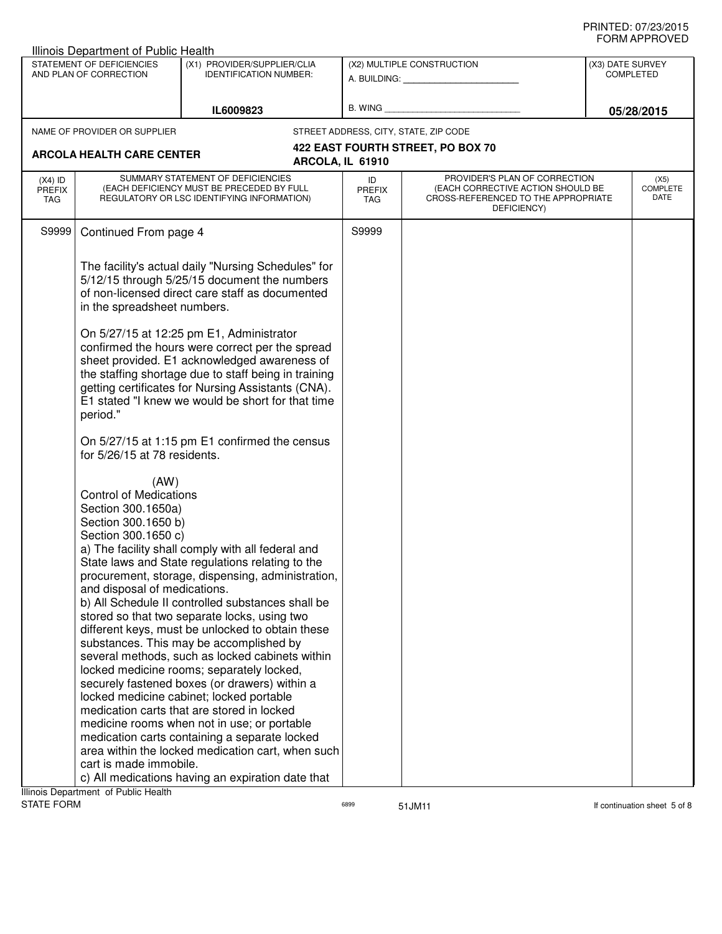|                                   | Illinois Department of Public Health                                                                                                                                                                                 |                                                                                                                                                                                                                                                                                                                                                                                                                                                                                                                                                                                                                                                                                         |                                   |                                                                                                                          |                  |                                 |
|-----------------------------------|----------------------------------------------------------------------------------------------------------------------------------------------------------------------------------------------------------------------|-----------------------------------------------------------------------------------------------------------------------------------------------------------------------------------------------------------------------------------------------------------------------------------------------------------------------------------------------------------------------------------------------------------------------------------------------------------------------------------------------------------------------------------------------------------------------------------------------------------------------------------------------------------------------------------------|-----------------------------------|--------------------------------------------------------------------------------------------------------------------------|------------------|---------------------------------|
|                                   | STATEMENT OF DEFICIENCIES<br>AND PLAN OF CORRECTION                                                                                                                                                                  | (X1) PROVIDER/SUPPLIER/CLIA<br><b>IDENTIFICATION NUMBER:</b>                                                                                                                                                                                                                                                                                                                                                                                                                                                                                                                                                                                                                            |                                   | (X2) MULTIPLE CONSTRUCTION<br>A. BUILDING: A. BUILDING:                                                                  | (X3) DATE SURVEY | <b>COMPLETED</b>                |
|                                   |                                                                                                                                                                                                                      | IL6009823                                                                                                                                                                                                                                                                                                                                                                                                                                                                                                                                                                                                                                                                               | B. WING                           |                                                                                                                          |                  | 05/28/2015                      |
|                                   | NAME OF PROVIDER OR SUPPLIER                                                                                                                                                                                         |                                                                                                                                                                                                                                                                                                                                                                                                                                                                                                                                                                                                                                                                                         |                                   | STREET ADDRESS, CITY, STATE, ZIP CODE                                                                                    |                  |                                 |
|                                   |                                                                                                                                                                                                                      |                                                                                                                                                                                                                                                                                                                                                                                                                                                                                                                                                                                                                                                                                         |                                   | 422 EAST FOURTH STREET, PO BOX 70                                                                                        |                  |                                 |
|                                   | <b>ARCOLA HEALTH CARE CENTER</b>                                                                                                                                                                                     |                                                                                                                                                                                                                                                                                                                                                                                                                                                                                                                                                                                                                                                                                         | ARCOLA, IL 61910                  |                                                                                                                          |                  |                                 |
| $(X4)$ ID<br><b>PREFIX</b><br>TAG |                                                                                                                                                                                                                      | SUMMARY STATEMENT OF DEFICIENCIES<br>(EACH DEFICIENCY MUST BE PRECEDED BY FULL<br>REGULATORY OR LSC IDENTIFYING INFORMATION)                                                                                                                                                                                                                                                                                                                                                                                                                                                                                                                                                            | ID<br><b>PREFIX</b><br><b>TAG</b> | PROVIDER'S PLAN OF CORRECTION<br>(EACH CORRECTIVE ACTION SHOULD BE<br>CROSS-REFERENCED TO THE APPROPRIATE<br>DEFICIENCY) |                  | (X5)<br><b>COMPLETE</b><br>DATE |
| S9999                             | Continued From page 4                                                                                                                                                                                                |                                                                                                                                                                                                                                                                                                                                                                                                                                                                                                                                                                                                                                                                                         | S9999                             |                                                                                                                          |                  |                                 |
|                                   | in the spreadsheet numbers.<br>period."<br>for 5/26/15 at 78 residents.<br>(AW)<br><b>Control of Medications</b><br>Section 300.1650a)<br>Section 300.1650 b)<br>Section 300.1650 c)<br>and disposal of medications. | The facility's actual daily "Nursing Schedules" for<br>5/12/15 through 5/25/15 document the numbers<br>of non-licensed direct care staff as documented<br>On 5/27/15 at 12:25 pm E1, Administrator<br>confirmed the hours were correct per the spread<br>sheet provided. E1 acknowledged awareness of<br>the staffing shortage due to staff being in training<br>getting certificates for Nursing Assistants (CNA).<br>E1 stated "I knew we would be short for that time<br>On 5/27/15 at 1:15 pm E1 confirmed the census<br>a) The facility shall comply with all federal and<br>State laws and State regulations relating to the<br>procurement, storage, dispensing, administration, |                                   |                                                                                                                          |                  |                                 |
|                                   |                                                                                                                                                                                                                      | b) All Schedule II controlled substances shall be<br>stored so that two separate locks, using two<br>different keys, must be unlocked to obtain these                                                                                                                                                                                                                                                                                                                                                                                                                                                                                                                                   |                                   |                                                                                                                          |                  |                                 |
|                                   |                                                                                                                                                                                                                      | substances. This may be accomplished by<br>several methods, such as locked cabinets within<br>locked medicine rooms; separately locked,                                                                                                                                                                                                                                                                                                                                                                                                                                                                                                                                                 |                                   |                                                                                                                          |                  |                                 |
|                                   |                                                                                                                                                                                                                      | securely fastened boxes (or drawers) within a<br>locked medicine cabinet; locked portable<br>medication carts that are stored in locked                                                                                                                                                                                                                                                                                                                                                                                                                                                                                                                                                 |                                   |                                                                                                                          |                  |                                 |
|                                   | medicine rooms when not in use; or portable<br>medication carts containing a separate locked<br>area within the locked medication cart, when such                                                                    |                                                                                                                                                                                                                                                                                                                                                                                                                                                                                                                                                                                                                                                                                         |                                   |                                                                                                                          |                  |                                 |
|                                   | cart is made immobile.                                                                                                                                                                                               | c) All medications having an expiration date that                                                                                                                                                                                                                                                                                                                                                                                                                                                                                                                                                                                                                                       |                                   |                                                                                                                          |                  |                                 |
|                                   | Illinois Department of Public Health                                                                                                                                                                                 |                                                                                                                                                                                                                                                                                                                                                                                                                                                                                                                                                                                                                                                                                         |                                   |                                                                                                                          |                  |                                 |
| <b>STATE FORM</b>                 |                                                                                                                                                                                                                      |                                                                                                                                                                                                                                                                                                                                                                                                                                                                                                                                                                                                                                                                                         | 6899                              | 51JM11                                                                                                                   |                  | If continuation sheet 5 of 8    |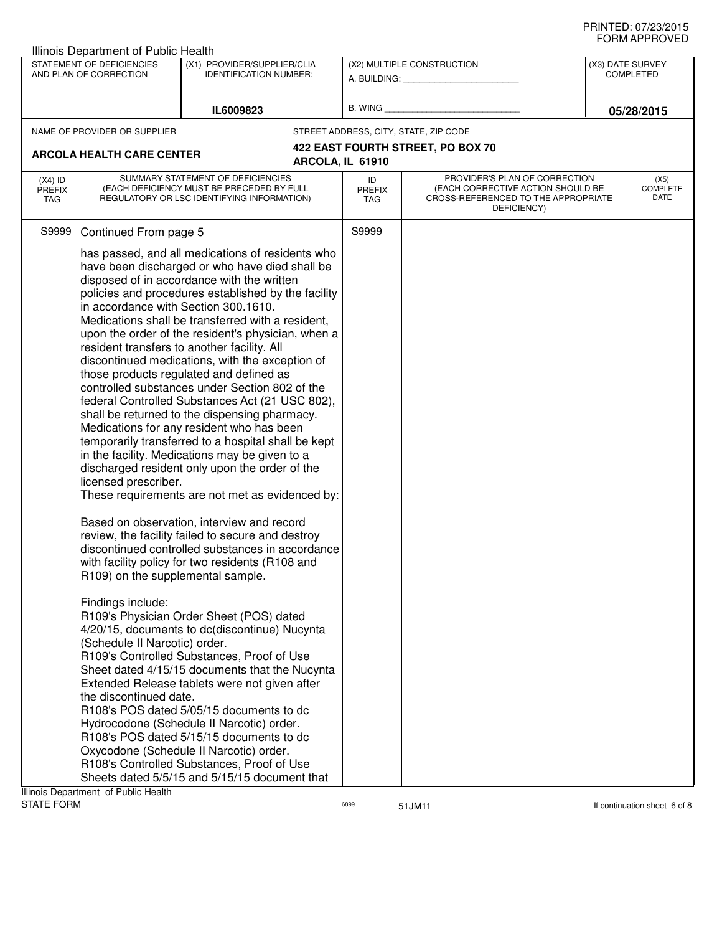|                                   | Illinois Department of Public Health                                                                                                                                                                                     |                                                                                                                                                                                                                                                                                                                                                                                                                                                                                                                                                                                                                                                                                                                                                                                                                                                                                                                                                                                                                                                                                                                                                                                                                                                                                                                                                                                                                                                                                                                                                                                                                          |                                                         |                                                                                                                          |                                      |                                 |  |
|-----------------------------------|--------------------------------------------------------------------------------------------------------------------------------------------------------------------------------------------------------------------------|--------------------------------------------------------------------------------------------------------------------------------------------------------------------------------------------------------------------------------------------------------------------------------------------------------------------------------------------------------------------------------------------------------------------------------------------------------------------------------------------------------------------------------------------------------------------------------------------------------------------------------------------------------------------------------------------------------------------------------------------------------------------------------------------------------------------------------------------------------------------------------------------------------------------------------------------------------------------------------------------------------------------------------------------------------------------------------------------------------------------------------------------------------------------------------------------------------------------------------------------------------------------------------------------------------------------------------------------------------------------------------------------------------------------------------------------------------------------------------------------------------------------------------------------------------------------------------------------------------------------------|---------------------------------------------------------|--------------------------------------------------------------------------------------------------------------------------|--------------------------------------|---------------------------------|--|
|                                   | STATEMENT OF DEFICIENCIES<br>AND PLAN OF CORRECTION                                                                                                                                                                      | (X1) PROVIDER/SUPPLIER/CLIA<br><b>IDENTIFICATION NUMBER:</b>                                                                                                                                                                                                                                                                                                                                                                                                                                                                                                                                                                                                                                                                                                                                                                                                                                                                                                                                                                                                                                                                                                                                                                                                                                                                                                                                                                                                                                                                                                                                                             | (X2) MULTIPLE CONSTRUCTION<br>A. BUILDING: A. BUILDING: |                                                                                                                          | (X3) DATE SURVEY<br><b>COMPLETED</b> |                                 |  |
| IL6009823                         |                                                                                                                                                                                                                          | B. WING                                                                                                                                                                                                                                                                                                                                                                                                                                                                                                                                                                                                                                                                                                                                                                                                                                                                                                                                                                                                                                                                                                                                                                                                                                                                                                                                                                                                                                                                                                                                                                                                                  |                                                         | 05/28/2015                                                                                                               |                                      |                                 |  |
|                                   | NAME OF PROVIDER OR SUPPLIER                                                                                                                                                                                             |                                                                                                                                                                                                                                                                                                                                                                                                                                                                                                                                                                                                                                                                                                                                                                                                                                                                                                                                                                                                                                                                                                                                                                                                                                                                                                                                                                                                                                                                                                                                                                                                                          |                                                         | STREET ADDRESS, CITY, STATE, ZIP CODE                                                                                    |                                      |                                 |  |
|                                   | <b>ARCOLA HEALTH CARE CENTER</b>                                                                                                                                                                                         |                                                                                                                                                                                                                                                                                                                                                                                                                                                                                                                                                                                                                                                                                                                                                                                                                                                                                                                                                                                                                                                                                                                                                                                                                                                                                                                                                                                                                                                                                                                                                                                                                          |                                                         | 422 EAST FOURTH STREET, PO BOX 70                                                                                        |                                      |                                 |  |
|                                   |                                                                                                                                                                                                                          | ARCOLA, IL 61910                                                                                                                                                                                                                                                                                                                                                                                                                                                                                                                                                                                                                                                                                                                                                                                                                                                                                                                                                                                                                                                                                                                                                                                                                                                                                                                                                                                                                                                                                                                                                                                                         |                                                         |                                                                                                                          |                                      |                                 |  |
| $(X4)$ ID<br><b>PREFIX</b><br>TAG |                                                                                                                                                                                                                          | SUMMARY STATEMENT OF DEFICIENCIES<br>(EACH DEFICIENCY MUST BE PRECEDED BY FULL<br>REGULATORY OR LSC IDENTIFYING INFORMATION)                                                                                                                                                                                                                                                                                                                                                                                                                                                                                                                                                                                                                                                                                                                                                                                                                                                                                                                                                                                                                                                                                                                                                                                                                                                                                                                                                                                                                                                                                             | ID<br><b>PREFIX</b><br><b>TAG</b>                       | PROVIDER'S PLAN OF CORRECTION<br>(EACH CORRECTIVE ACTION SHOULD BE<br>CROSS-REFERENCED TO THE APPROPRIATE<br>DEFICIENCY) |                                      | (X5)<br><b>COMPLETE</b><br>DATE |  |
| S9999                             | Continued From page 5                                                                                                                                                                                                    |                                                                                                                                                                                                                                                                                                                                                                                                                                                                                                                                                                                                                                                                                                                                                                                                                                                                                                                                                                                                                                                                                                                                                                                                                                                                                                                                                                                                                                                                                                                                                                                                                          | S9999                                                   |                                                                                                                          |                                      |                                 |  |
|                                   | in accordance with Section 300.1610.<br>licensed prescriber.<br>R109) on the supplemental sample.<br>Findings include:<br>(Schedule II Narcotic) order.<br>the discontinued date.<br>Ilinois Department of Public Health | has passed, and all medications of residents who<br>have been discharged or who have died shall be<br>disposed of in accordance with the written<br>policies and procedures established by the facility<br>Medications shall be transferred with a resident,<br>upon the order of the resident's physician, when a<br>resident transfers to another facility. All<br>discontinued medications, with the exception of<br>those products regulated and defined as<br>controlled substances under Section 802 of the<br>federal Controlled Substances Act (21 USC 802),<br>shall be returned to the dispensing pharmacy.<br>Medications for any resident who has been<br>temporarily transferred to a hospital shall be kept<br>in the facility. Medications may be given to a<br>discharged resident only upon the order of the<br>These requirements are not met as evidenced by:<br>Based on observation, interview and record<br>review, the facility failed to secure and destroy<br>discontinued controlled substances in accordance<br>with facility policy for two residents (R108 and<br>R109's Physician Order Sheet (POS) dated<br>4/20/15, documents to dc(discontinue) Nucynta<br>R109's Controlled Substances, Proof of Use<br>Sheet dated 4/15/15 documents that the Nucynta<br>Extended Release tablets were not given after<br>R108's POS dated 5/05/15 documents to dc<br>Hydrocodone (Schedule II Narcotic) order.<br>R108's POS dated 5/15/15 documents to dc<br>Oxycodone (Schedule II Narcotic) order.<br>R108's Controlled Substances, Proof of Use<br>Sheets dated 5/5/15 and 5/15/15 document that |                                                         |                                                                                                                          |                                      |                                 |  |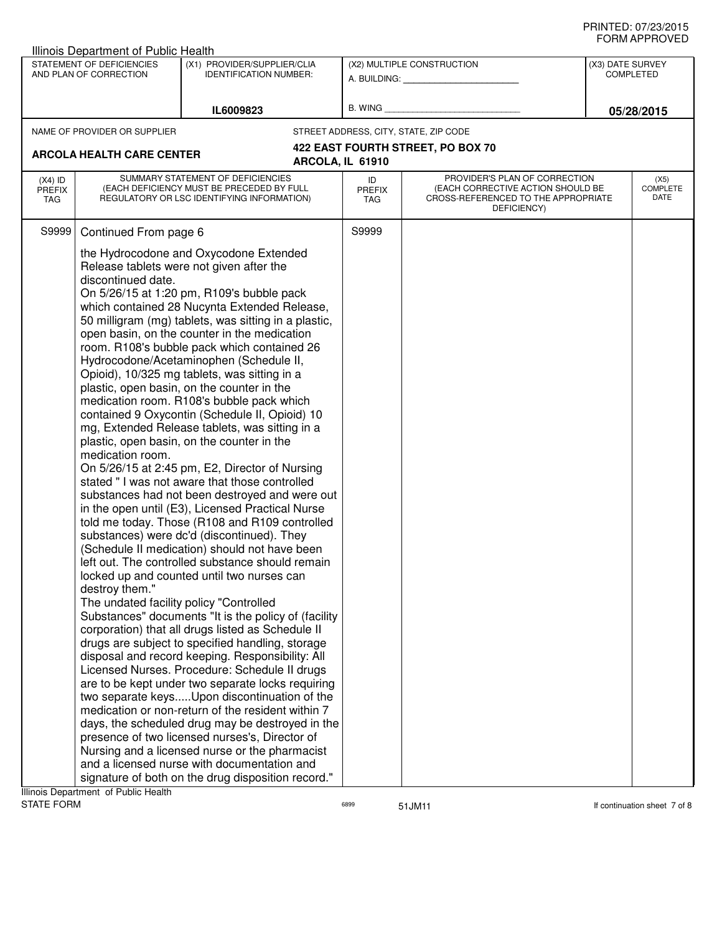|                                          | Illinois Department of Public Health                                                                                |                                                                                                                                                                                                                                                                                                                                                                                                                                                                                                                                                                                                                                                                                                                                                                                                                                                                                                                                                                                                                                                                                                                                                                                                                                                                                                                                                                                                                                                                                                                                                                                                                                                                                                                                                                                                                                                                                     |                                                         |                                                                                                                          |                                      | ◡੶┉┌┅ ┌ ┌ ┌ ∪ ∪ –               |
|------------------------------------------|---------------------------------------------------------------------------------------------------------------------|-------------------------------------------------------------------------------------------------------------------------------------------------------------------------------------------------------------------------------------------------------------------------------------------------------------------------------------------------------------------------------------------------------------------------------------------------------------------------------------------------------------------------------------------------------------------------------------------------------------------------------------------------------------------------------------------------------------------------------------------------------------------------------------------------------------------------------------------------------------------------------------------------------------------------------------------------------------------------------------------------------------------------------------------------------------------------------------------------------------------------------------------------------------------------------------------------------------------------------------------------------------------------------------------------------------------------------------------------------------------------------------------------------------------------------------------------------------------------------------------------------------------------------------------------------------------------------------------------------------------------------------------------------------------------------------------------------------------------------------------------------------------------------------------------------------------------------------------------------------------------------------|---------------------------------------------------------|--------------------------------------------------------------------------------------------------------------------------|--------------------------------------|---------------------------------|
|                                          | STATEMENT OF DEFICIENCIES<br>(X1) PROVIDER/SUPPLIER/CLIA<br>AND PLAN OF CORRECTION<br><b>IDENTIFICATION NUMBER:</b> |                                                                                                                                                                                                                                                                                                                                                                                                                                                                                                                                                                                                                                                                                                                                                                                                                                                                                                                                                                                                                                                                                                                                                                                                                                                                                                                                                                                                                                                                                                                                                                                                                                                                                                                                                                                                                                                                                     | (X2) MULTIPLE CONSTRUCTION<br>A. BUILDING: A. BUILDING: |                                                                                                                          | (X3) DATE SURVEY<br><b>COMPLETED</b> |                                 |
|                                          |                                                                                                                     |                                                                                                                                                                                                                                                                                                                                                                                                                                                                                                                                                                                                                                                                                                                                                                                                                                                                                                                                                                                                                                                                                                                                                                                                                                                                                                                                                                                                                                                                                                                                                                                                                                                                                                                                                                                                                                                                                     |                                                         |                                                                                                                          |                                      |                                 |
|                                          |                                                                                                                     | IL6009823                                                                                                                                                                                                                                                                                                                                                                                                                                                                                                                                                                                                                                                                                                                                                                                                                                                                                                                                                                                                                                                                                                                                                                                                                                                                                                                                                                                                                                                                                                                                                                                                                                                                                                                                                                                                                                                                           |                                                         | B. WING <b>Example 20</b>                                                                                                |                                      | 05/28/2015                      |
|                                          | NAME OF PROVIDER OR SUPPLIER                                                                                        |                                                                                                                                                                                                                                                                                                                                                                                                                                                                                                                                                                                                                                                                                                                                                                                                                                                                                                                                                                                                                                                                                                                                                                                                                                                                                                                                                                                                                                                                                                                                                                                                                                                                                                                                                                                                                                                                                     |                                                         | STREET ADDRESS, CITY, STATE, ZIP CODE                                                                                    |                                      |                                 |
|                                          |                                                                                                                     |                                                                                                                                                                                                                                                                                                                                                                                                                                                                                                                                                                                                                                                                                                                                                                                                                                                                                                                                                                                                                                                                                                                                                                                                                                                                                                                                                                                                                                                                                                                                                                                                                                                                                                                                                                                                                                                                                     |                                                         | 422 EAST FOURTH STREET, PO BOX 70                                                                                        |                                      |                                 |
|                                          | <b>ARCOLA HEALTH CARE CENTER</b>                                                                                    |                                                                                                                                                                                                                                                                                                                                                                                                                                                                                                                                                                                                                                                                                                                                                                                                                                                                                                                                                                                                                                                                                                                                                                                                                                                                                                                                                                                                                                                                                                                                                                                                                                                                                                                                                                                                                                                                                     | ARCOLA, IL 61910                                        |                                                                                                                          |                                      |                                 |
| $(X4)$ ID<br><b>PREFIX</b><br><b>TAG</b> |                                                                                                                     | SUMMARY STATEMENT OF DEFICIENCIES<br>(EACH DEFICIENCY MUST BE PRECEDED BY FULL<br>REGULATORY OR LSC IDENTIFYING INFORMATION)                                                                                                                                                                                                                                                                                                                                                                                                                                                                                                                                                                                                                                                                                                                                                                                                                                                                                                                                                                                                                                                                                                                                                                                                                                                                                                                                                                                                                                                                                                                                                                                                                                                                                                                                                        | ID<br><b>PREFIX</b><br>TAG                              | PROVIDER'S PLAN OF CORRECTION<br>(EACH CORRECTIVE ACTION SHOULD BE<br>CROSS-REFERENCED TO THE APPROPRIATE<br>DEFICIENCY) |                                      | (X5)<br><b>COMPLETE</b><br>DATE |
| S9999                                    | Continued From page 6                                                                                               |                                                                                                                                                                                                                                                                                                                                                                                                                                                                                                                                                                                                                                                                                                                                                                                                                                                                                                                                                                                                                                                                                                                                                                                                                                                                                                                                                                                                                                                                                                                                                                                                                                                                                                                                                                                                                                                                                     | S9999                                                   |                                                                                                                          |                                      |                                 |
|                                          | discontinued date.<br>medication room.<br>destroy them."                                                            | the Hydrocodone and Oxycodone Extended<br>Release tablets were not given after the<br>On 5/26/15 at 1:20 pm, R109's bubble pack<br>which contained 28 Nucynta Extended Release,<br>50 milligram (mg) tablets, was sitting in a plastic,<br>open basin, on the counter in the medication<br>room. R108's bubble pack which contained 26<br>Hydrocodone/Acetaminophen (Schedule II,<br>Opioid), 10/325 mg tablets, was sitting in a<br>plastic, open basin, on the counter in the<br>medication room. R108's bubble pack which<br>contained 9 Oxycontin (Schedule II, Opioid) 10<br>mg, Extended Release tablets, was sitting in a<br>plastic, open basin, on the counter in the<br>On 5/26/15 at 2:45 pm, E2, Director of Nursing<br>stated " I was not aware that those controlled<br>substances had not been destroyed and were out<br>in the open until (E3), Licensed Practical Nurse<br>told me today. Those (R108 and R109 controlled<br>substances) were dc'd (discontinued). They<br>(Schedule II medication) should not have been<br>left out. The controlled substance should remain<br>locked up and counted until two nurses can<br>The undated facility policy "Controlled<br>Substances" documents "It is the policy of (facility<br>corporation) that all drugs listed as Schedule II<br>drugs are subject to specified handling, storage<br>disposal and record keeping. Responsibility: All<br>Licensed Nurses. Procedure: Schedule II drugs<br>are to be kept under two separate locks requiring<br>two separate keysUpon discontinuation of the<br>medication or non-return of the resident within 7<br>days, the scheduled drug may be destroyed in the<br>presence of two licensed nurses's, Director of<br>Nursing and a licensed nurse or the pharmacist<br>and a licensed nurse with documentation and<br>signature of both on the drug disposition record." |                                                         |                                                                                                                          |                                      |                                 |

assets of the STATE of State of the STATE of State of the STATE of State of State of State of State of State of State of State of State of State of State of State of State of State of State of State of State of State of St